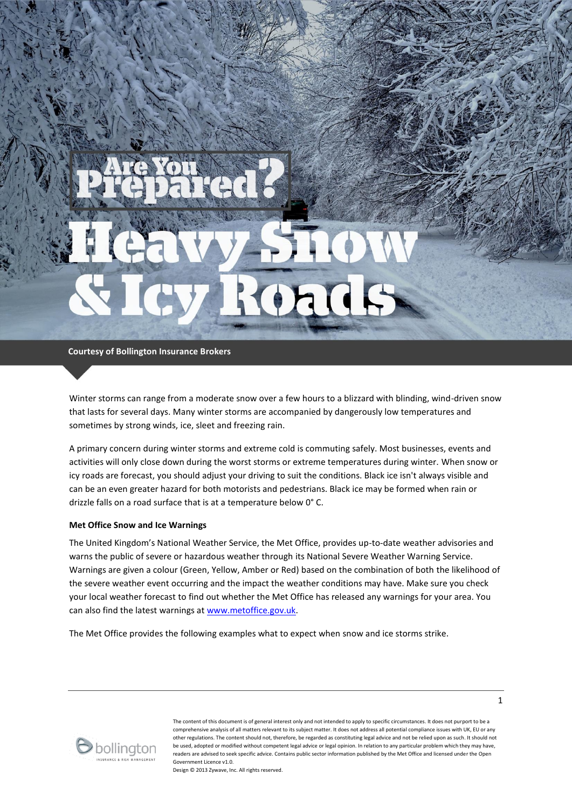**Courtesy of Bollington Insurance Brokers**

Winter storms can range from a moderate snow over a few hours to a blizzard with blinding, wind-driven snow that lasts for several days. Many winter storms are accompanied by dangerously low temperatures and sometimes by strong winds, ice, sleet and freezing rain.

A primary concern during winter storms and extreme cold is commuting safely. Most businesses, events and activities will only close down during the worst storms or extreme temperatures during winter. When snow or icy roads are forecast, you should adjust your driving to suit the conditions. Black ice isn't always visible and can be an even greater hazard for both motorists and pedestrians. Black ice may be formed when rain or drizzle falls on a road surface that is at a temperature below 0° C.

### **Met Office Snow and Ice Warnings**

The United Kingdom's National Weather Service, the Met Office, provides up-to-date weather advisories and warns the public of severe or hazardous weather through its National Severe Weather Warning Service. Warnings are given a colour (Green, Yellow, Amber or Red) based on the combination of both the likelihood of the severe weather event occurring and the impact the weather conditions may have. Make sure you check your local weather forecast to find out whether the Met Office has released any warnings for your area. You can also find the latest warnings a[t www.metoffice.gov.uk.](http://www.metoffice.gov.uk/)

The Met Office provides the following examples what to expect when snow and ice storms strike.



The content of this document is of general interest only and not intended to apply to specific circumstances. It does not purport to be a comprehensive analysis of all matters relevant to its subject matter. It does not address all potential compliance issues with UK, EU or any other regulations. The content should not, therefore, be regarded as constituting legal advice and not be relied upon as such. It should not be used, adopted or modified without competent legal advice or legal opinion. In relation to any particular problem which they may have, readers are advised to seek specific advice. Contains public sector information published by the Met Office and licensed under the Open Government Licence v1.0.

Design © 2013 Zywave, Inc. All rights reserved.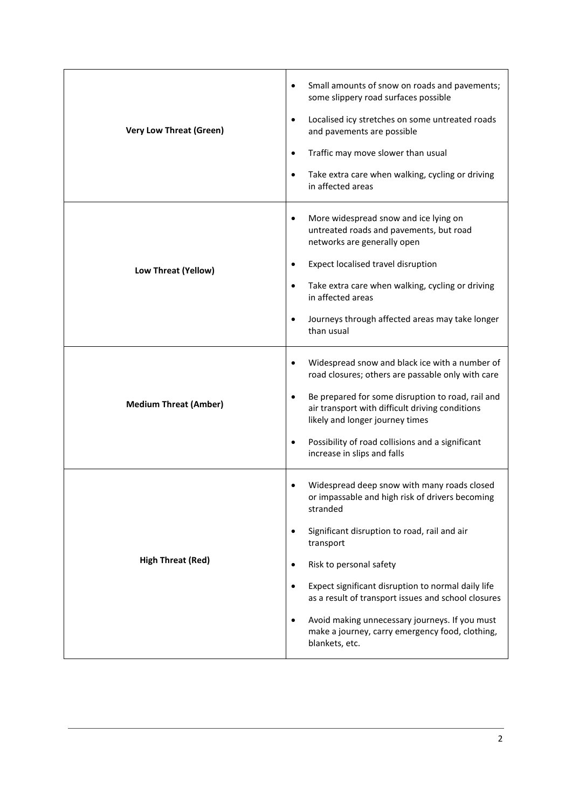| <b>Very Low Threat (Green)</b> | Small amounts of snow on roads and pavements;<br>$\bullet$<br>some slippery road surfaces possible<br>Localised icy stretches on some untreated roads<br>$\bullet$<br>and pavements are possible<br>Traffic may move slower than usual<br>$\bullet$<br>Take extra care when walking, cycling or driving<br>$\bullet$<br>in affected areas                                                                                                                                                  |
|--------------------------------|--------------------------------------------------------------------------------------------------------------------------------------------------------------------------------------------------------------------------------------------------------------------------------------------------------------------------------------------------------------------------------------------------------------------------------------------------------------------------------------------|
| Low Threat (Yellow)            | More widespread snow and ice lying on<br>$\bullet$<br>untreated roads and pavements, but road<br>networks are generally open<br>Expect localised travel disruption<br>$\bullet$<br>Take extra care when walking, cycling or driving<br>$\bullet$<br>in affected areas<br>Journeys through affected areas may take longer<br>$\bullet$<br>than usual                                                                                                                                        |
| <b>Medium Threat (Amber)</b>   | Widespread snow and black ice with a number of<br>$\bullet$<br>road closures; others are passable only with care<br>Be prepared for some disruption to road, rail and<br>$\bullet$<br>air transport with difficult driving conditions<br>likely and longer journey times<br>Possibility of road collisions and a significant<br>$\bullet$<br>increase in slips and falls                                                                                                                   |
| <b>High Threat (Red)</b>       | Widespread deep snow with many roads closed<br>or impassable and high risk of drivers becoming<br>stranded<br>Significant disruption to road, rail and air<br>$\bullet$<br>transport<br>Risk to personal safety<br>$\bullet$<br>Expect significant disruption to normal daily life<br>$\bullet$<br>as a result of transport issues and school closures<br>Avoid making unnecessary journeys. If you must<br>$\bullet$<br>make a journey, carry emergency food, clothing,<br>blankets, etc. |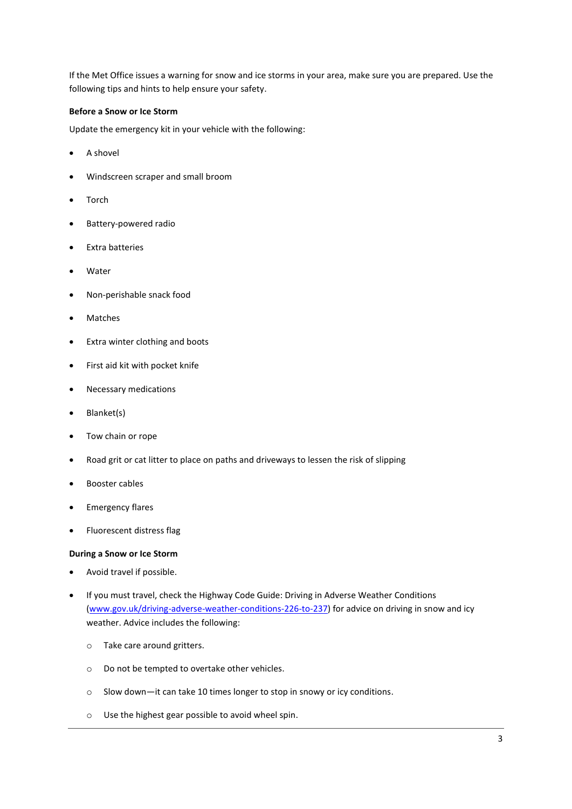If the Met Office issues a warning for snow and ice storms in your area, make sure you are prepared. Use the following tips and hints to help ensure your safety.

# **Before a Snow or Ice Storm**

Update the emergency kit in your vehicle with the following:

- A shovel
- Windscreen scraper and small broom
- Torch
- Battery-powered radio
- Extra batteries
- Water
- Non-perishable snack food
- Matches
- Extra winter clothing and boots
- First aid kit with pocket knife
- Necessary medications
- Blanket(s)
- Tow chain or rope
- Road grit or cat litter to place on paths and driveways to lessen the risk of slipping
- Booster cables
- **•** Emergency flares
- Fluorescent distress flag

# **During a Snow or Ice Storm**

- Avoid travel if possible.
- If you must travel, check the Highway Code Guide: Driving in Adverse Weather Conditions [\(www.gov.uk/driving-adverse-weather-conditions-226-to-237\)](http://www.gov.uk/driving-adverse-weather-conditions-226-to-237) for advice on driving in snow and icy weather. Advice includes the following:
	- o Take care around gritters.
	- o Do not be tempted to overtake other vehicles.
	- o Slow down—it can take 10 times longer to stop in snowy or icy conditions.
	- o Use the highest gear possible to avoid wheel spin.